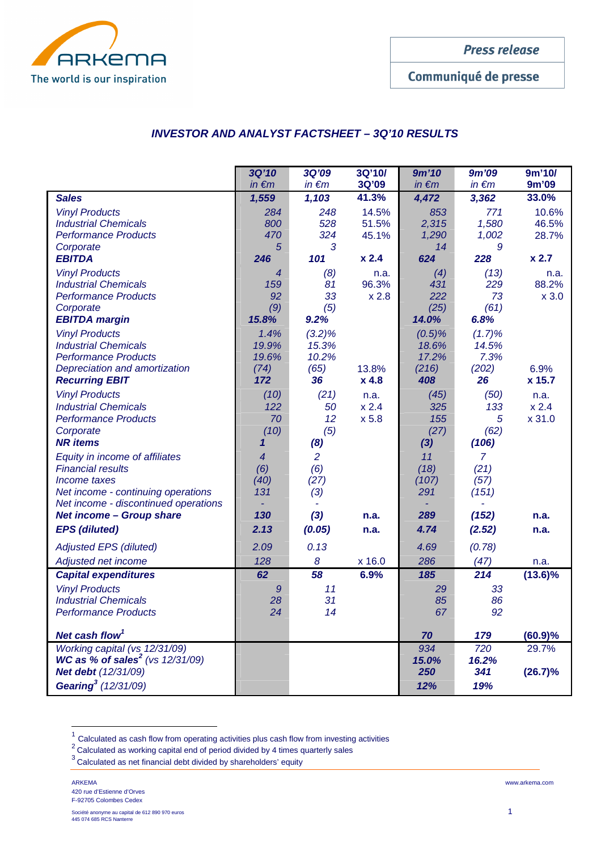

Communiqué de presse

## **INVESTOR AND ANALYST FACTSHEET – 3Q'10 RESULTS**

|                                                                                                                                                          | 3Q'10<br>$in \in m$                                     | <b>3Q'09</b><br>$in \in m$           | 3Q'10/<br>3Q'09         | 9m'10<br>$in \in m$                  | 9m'09<br>$in \in m$                     | 9m'10/<br>9m'09          |
|----------------------------------------------------------------------------------------------------------------------------------------------------------|---------------------------------------------------------|--------------------------------------|-------------------------|--------------------------------------|-----------------------------------------|--------------------------|
| <b>Sales</b>                                                                                                                                             | 1,559                                                   | 1,103                                | 41.3%                   | 4,472                                | 3,362                                   | 33.0%                    |
| <b>Vinyl Products</b><br><b>Industrial Chemicals</b><br><b>Performance Products</b><br>Corporate                                                         | 284<br>800<br>470<br>5                                  | 248<br>528<br>324<br>3               | 14.5%<br>51.5%<br>45.1% | 853<br>2,315<br>1,290<br>14          | 771<br>1,580<br>1,002<br>9              | 10.6%<br>46.5%<br>28.7%  |
| <b>EBITDA</b>                                                                                                                                            | 246                                                     | 101                                  | x 2.4                   | 624                                  | 228                                     | $x$ 2.7                  |
| <b>Vinyl Products</b><br><b>Industrial Chemicals</b><br><b>Performance Products</b><br>Corporate<br><b>EBITDA margin</b>                                 | $\overline{4}$<br>159<br>92<br>(9)<br>15.8%             | (8)<br>81<br>33<br>(5)<br>9.2%       | n.a.<br>96.3%<br>x 2.8  | (4)<br>431<br>222<br>(25)<br>14.0%   | (13)<br>229<br>73<br>(61)<br>6.8%       | n.a.<br>88.2%<br>$x$ 3.0 |
| <b>Vinyl Products</b><br><b>Industrial Chemicals</b><br><b>Performance Products</b><br>Depreciation and amortization                                     | 1.4%<br>19.9%<br>19.6%<br>(74)                          | $(3.2)\%$<br>15.3%<br>10.2%<br>(65)  | 13.8%                   | $(0.5)\%$<br>18.6%<br>17.2%<br>(216) | (1.7)%<br>14.5%<br>7.3%<br>(202)        | 6.9%                     |
| <b>Recurring EBIT</b>                                                                                                                                    | 172                                                     | 36                                   | x 4.8                   | 408                                  | 26                                      | x 15.7                   |
| <b>Vinyl Products</b><br><b>Industrial Chemicals</b><br><b>Performance Products</b><br>Corporate<br><b>NR</b> items                                      | (10)<br>122<br>70<br>(10)<br>$\boldsymbol{\mathcal{L}}$ | (21)<br>50<br>12<br>(5)<br>(8)       | n.a.<br>x 2.4<br>x 5.8  | (45)<br>325<br>155<br>(27)<br>$(3)$  | (50)<br>133<br>5<br>(62)<br>(106)       | n.a.<br>x 2.4<br>x 31.0  |
| Equity in income of affiliates<br><b>Financial results</b><br>Income taxes<br>Net income - continuing operations<br>Net income - discontinued operations | $\overline{4}$<br>(6)<br>(40)<br>131                    | $\overline{2}$<br>(6)<br>(27)<br>(3) |                         | 11<br>(18)<br>(107)<br>291           | $\overline{7}$<br>(21)<br>(57)<br>(151) |                          |
| <b>Net income - Group share</b>                                                                                                                          | 130                                                     | $(3)$                                | n.a.                    | 289                                  | (152)                                   | n.a.                     |
| <b>EPS</b> (diluted)                                                                                                                                     | 2.13                                                    | (0.05)                               | n.a.                    | 4.74                                 | (2.52)                                  | n.a.                     |
| <b>Adjusted EPS (diluted)</b>                                                                                                                            | 2.09                                                    | 0.13                                 |                         | 4.69                                 | (0.78)                                  |                          |
| Adjusted net income                                                                                                                                      | 128                                                     | 8                                    | x 16.0                  | 286                                  | (47)                                    | n.a.                     |
| <b>Capital expenditures</b>                                                                                                                              | 62                                                      | 58                                   | 6.9%                    | 185                                  | 214                                     | $(13.6)\%$               |
| <b>Vinyl Products</b><br><b>Industrial Chemicals</b><br><b>Performance Products</b>                                                                      | 9<br>28<br>24                                           | 11<br>31<br>14                       |                         | 29<br>85<br>67                       | 33<br>86<br>92                          |                          |
| Net cash flow <sup>1</sup>                                                                                                                               |                                                         |                                      |                         | 70                                   | 179                                     | (60.9)%                  |
| Working capital (vs 12/31/09)<br><b>WC as % of sales<sup>2</sup></b> (vs $12/31/09$ )<br>Net debt (12/31/09)                                             |                                                         |                                      |                         | 934<br>15.0%<br>250                  | 720<br>16.2%<br>341                     | 29.7%<br>(26.7)%         |
| Gearing <sup>3</sup> (12/31/09)                                                                                                                          |                                                         |                                      |                         | 12%                                  | 19%                                     |                          |

 $1$  Calculated as cash flow from operating activities plus cash flow from investing activities

 $\overline{a}$ 

Lalculated as vash flow from operating accritical prior sets.<br><sup>2</sup>Calculated as working capital end of period divided by 4 times quarterly sales

<sup>3</sup> Calculated as net financial debt divided by shareholders' equity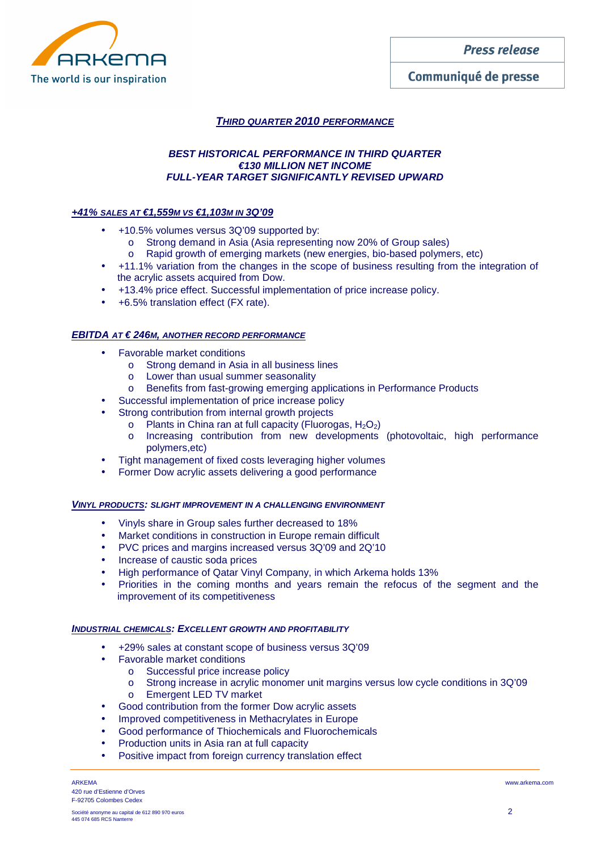

# Communiqué de presse

# **THIRD QUARTER 2010 PERFORMANCE**

## **BEST HISTORICAL PERFORMANCE IN THIRD QUARTER €130 MILLION NET INCOME FULL-YEAR TARGET SIGNIFICANTLY REVISED UPWARD**

## **+41% SALES AT €1,559M VS €1,103M IN 3Q'09**

- +10.5% volumes versus 3Q'09 supported by:
	- o Strong demand in Asia (Asia representing now 20% of Group sales)
	- o Rapid growth of emerging markets (new energies, bio-based polymers, etc)
- +11.1% variation from the changes in the scope of business resulting from the integration of the acrylic assets acquired from Dow.
- +13.4% price effect. Successful implementation of price increase policy.
- +6.5% translation effect (FX rate).

## **EBITDA AT € 246M, ANOTHER RECORD PERFORMANCE**

- Favorable market conditions
	- o Strong demand in Asia in all business lines
	- o Lower than usual summer seasonality
	- o Benefits from fast-growing emerging applications in Performance Products
	- Successful implementation of price increase policy
- Strong contribution from internal growth projects
	- $\circ$  Plants in China ran at full capacity (Fluorogas, H<sub>2</sub>O<sub>2</sub>)
	- o Increasing contribution from new developments (photovoltaic, high performance polymers,etc)
- Tight management of fixed costs leveraging higher volumes
- Former Dow acrylic assets delivering a good performance

## **VINYL PRODUCTS: SLIGHT IMPROVEMENT IN A CHALLENGING ENVIRONMENT**

- Vinyls share in Group sales further decreased to 18%
- Market conditions in construction in Europe remain difficult
- PVC prices and margins increased versus 3Q'09 and 2Q'10
- Increase of caustic soda prices
- High performance of Qatar Vinyl Company, in which Arkema holds 13%
- Priorities in the coming months and years remain the refocus of the segment and the improvement of its competitiveness

## **INDUSTRIAL CHEMICALS: EXCELLENT GROWTH AND PROFITABILITY**

- +29% sales at constant scope of business versus 3Q'09
- Favorable market conditions
	- o Successful price increase policy
	- o Strong increase in acrylic monomer unit margins versus low cycle conditions in 3Q'09
	- o Emergent LED TV market
- Good contribution from the former Dow acrylic assets
- Improved competitiveness in Methacrylates in Europe
- Good performance of Thiochemicals and Fluorochemicals
- Production units in Asia ran at full capacity
- Positive impact from foreign currency translation effect

ARKEMA www.arkema.com 420 rue d'Estienne d'Orves F-92705 Colombes Cedex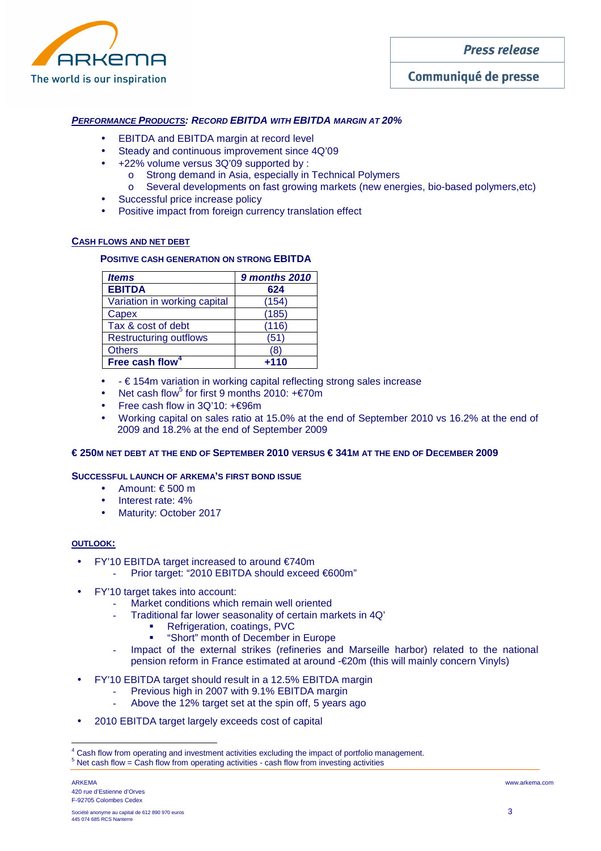

# Communiqué de presse

## **PERFORMANCE PRODUCTS: RECORD EBITDA WITH EBITDA MARGIN AT 20%**

- EBITDA and EBITDA margin at record level
- Steady and continuous improvement since 4Q'09
- +22% volume versus 3Q'09 supported by :
	- o Strong demand in Asia, especially in Technical Polymers
	- o Several developments on fast growing markets (new energies, bio-based polymers,etc)
- Successful price increase policy
- Positive impact from foreign currency translation effect

### **CASH FLOWS AND NET DEBT**

## **POSITIVE CASH GENERATION ON STRONG EBITDA**

| <b>Items</b>                  | <b>9 months 2010</b> |  |  |
|-------------------------------|----------------------|--|--|
| <b>EBITDA</b>                 | 624                  |  |  |
| Variation in working capital  | (154)                |  |  |
| Capex                         | (185)                |  |  |
| Tax & cost of debt            | (116)                |  |  |
| <b>Restructuring outflows</b> | (51)                 |  |  |
| <b>Others</b>                 | (8)                  |  |  |
| Free cash flow <sup>4</sup>   | $+110$               |  |  |

- - € 154m variation in working capital reflecting strong sales increase
- Net cash flow<sup>5</sup> for first 9 months 2010:  $+ \epsilon$ 70m
- Free cash flow in 3Q'10: +€96m
- Working capital on sales ratio at 15.0% at the end of September 2010 vs 16.2% at the end of 2009 and 18.2% at the end of September 2009

### **€ 250M NET DEBT AT THE END OF SEPTEMBER 2010 VERSUS € 341M AT THE END OF DECEMBER 2009**

### **SUCCESSFUL LAUNCH OF ARKEMA'S FIRST BOND ISSUE**

- Amount:  $\epsilon$  500 m
- Interest rate: 4%
- Maturity: October 2017

### **OUTLOOK:**

- FY'10 EBITDA target increased to around €740m
	- Prior target: "2010 EBITDA should exceed €600m"
- FY'10 target takes into account:
	- Market conditions which remain well oriented
	- Traditional far lower seasonality of certain markets in 4Q'
		- Refrigeration, coatings, PVC
		- "Short" month of December in Europe
	- Impact of the external strikes (refineries and Marseille harbor) related to the national pension reform in France estimated at around -€20m (this will mainly concern Vinyls)
- FY'10 EBITDA target should result in a 12.5% EBITDA margin
	- Previous high in 2007 with 9.1% EBITDA margin
	- Above the 12% target set at the spin off, 5 years ago
- 2010 EBITDA target largely exceeds cost of capital

 $\overline{a}$ 

<sup>4</sup> Cash flow from operating and investment activities excluding the impact of portfolio management.

 $5$  Net cash flow = Cash flow from operating activities - cash flow from investing activities